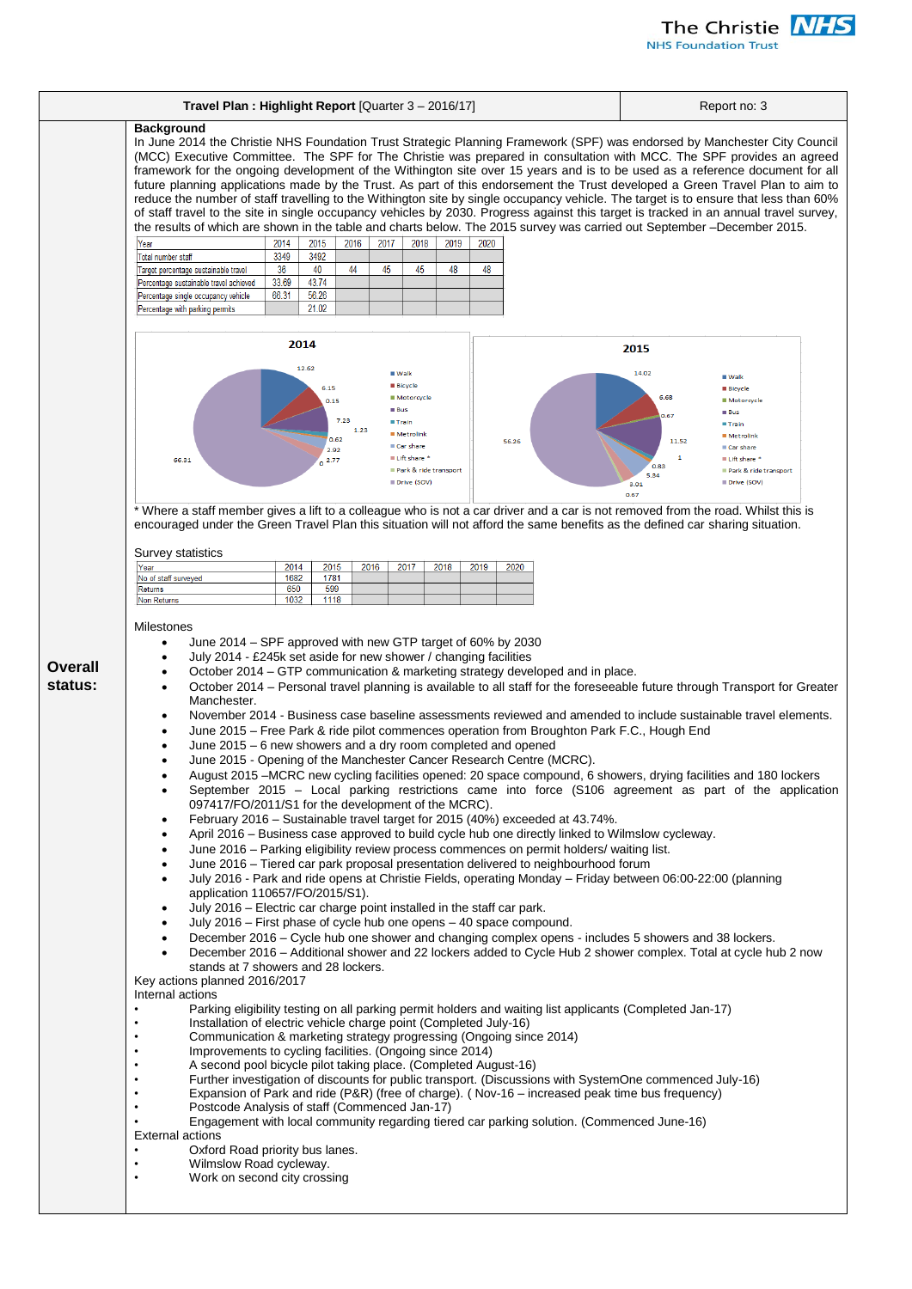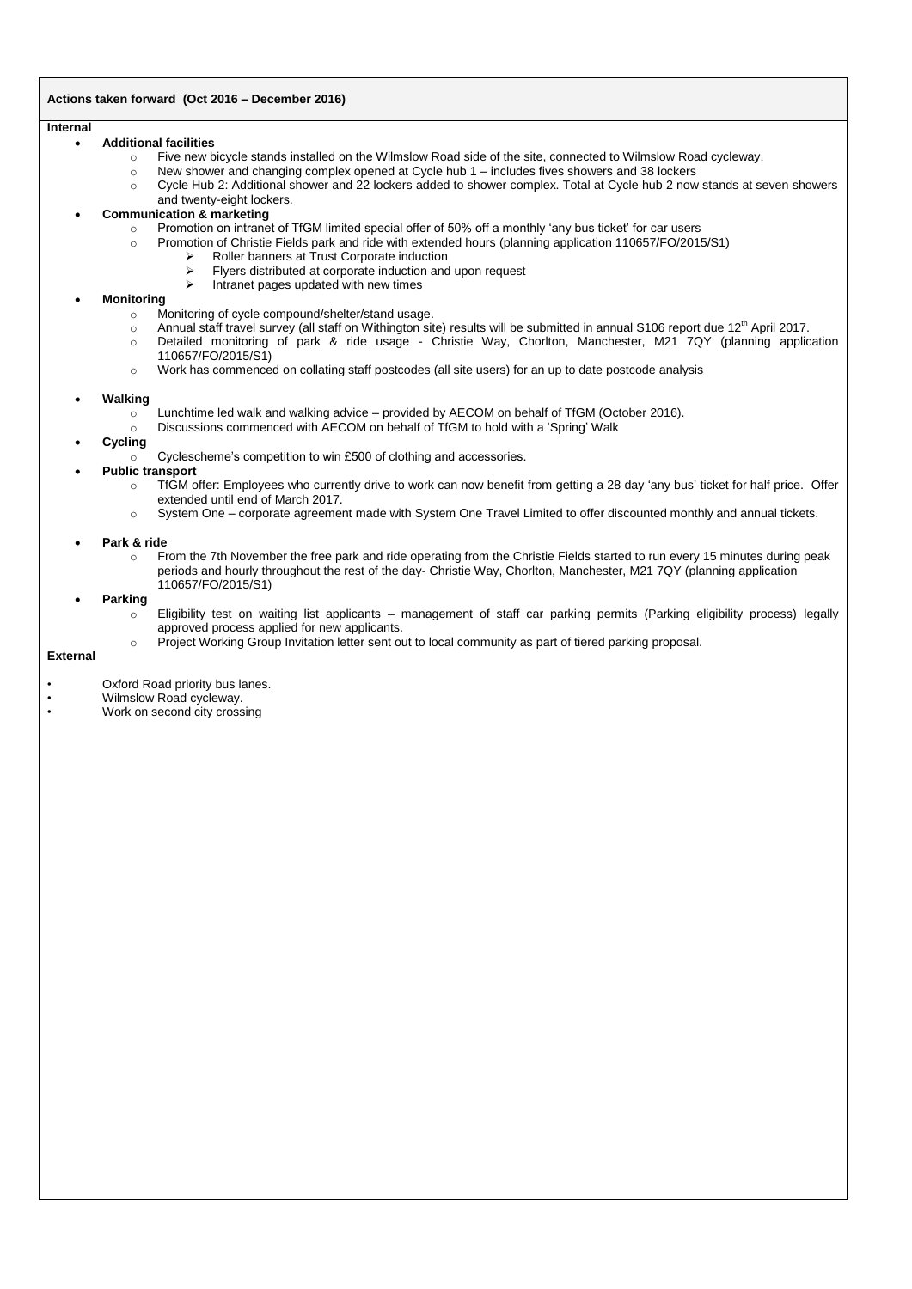# **Actions taken forward (Oct 2016 – December 2016)**

### **Internal**

### **Additional facilities**

- o Five new bicycle stands installed on the Wilmslow Road side of the site, connected to Wilmslow Road cycleway.
- o New shower and changing complex opened at Cycle hub 1 includes fives showers and 38 lockers
- o Cycle Hub 2: Additional shower and 22 lockers added to shower complex. Total at Cycle hub 2 now stands at seven showers and twenty-eight lockers.

## **Communication & marketing**

- o Promotion on intranet of TfGM limited special offer of 50% off a monthly 'any bus ticket' for car users
- o Promotion of Christie Fields park and ride with extended hours (planning application 110657/FO/2015/S1)
	- $\triangleright$  Roller banners at Trust Corporate induction
		- $\triangleright$  Flyers distributed at corporate induction and upon request<br> $\triangleright$  Intranet pages undated with new times
	- Intranet pages updated with new times

# **Monitoring**

- o Monitoring of cycle compound/shelter/stand usage.
- o Annual staff travel survey (all staff on Withington site) results will be submitted in annual S106 report due 12<sup>th</sup> April 2017.
- o Detailed monitoring of park & ride usage Christie Way, Chorlton, Manchester, M21 7QY (planning application 110657/FO/2015/S1)
- o Work has commenced on collating staff postcodes (all site users) for an up to date postcode analysis

## **Walking**

- $\circ$  Lunchtime led walk and walking advice provided by AECOM on behalf of TfGM (October 2016).
- o Discussions commenced with AECOM on behalf of TfGM to hold with a 'Spring' Walk

# **Cycling**

- $\circ$  Cyclescheme's competition to win £500 of clothing and accessories.
- **Public transport**
	- o TfGM offer: Employees who currently drive to work can now benefit from getting a 28 day 'any bus' ticket for half price. Offer extended until end of March 2017.
	- o System One corporate agreement made with System One Travel Limited to offer discounted monthly and annual tickets.

## **Park & ride**

o From the 7th November the free park and ride operating from the Christie Fields started to run every 15 minutes during peak periods and hourly throughout the rest of the day- Christie Way, Chorlton, Manchester, M21 7QY (planning application 110657/FO/2015/S1)

### **Parking**

- o Eligibility test on waiting list applicants management of staff car parking permits (Parking eligibility process) legally approved process applied for new applicants.
- o Project Working Group Invitation letter sent out to local community as part of tiered parking proposal.

#### **External**

- Oxford Road priority bus lanes.
- Wilmslow Road cycleway.<br>• Mork on second city organ
- Work on second city crossing